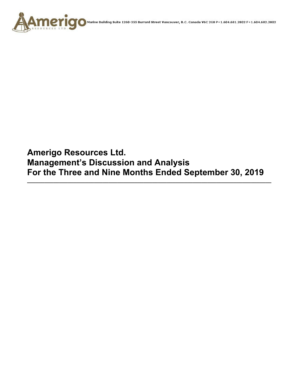

**AMCYICO** Marine Building Suite 1260-355 Burrard Street Vancouver, B.C. Canada V6C 2G8 P+1.604.681.2802 F+1.604.682.2802

**Amerigo Resources Ltd. Management's Discussion and Analysis For the Three and Nine Months Ended September 30, 2019** 

**\_\_\_\_\_\_\_\_\_\_\_\_\_\_\_\_\_\_\_\_\_\_\_\_\_\_\_\_\_\_\_\_\_\_\_\_\_\_\_\_\_\_\_\_\_\_\_\_\_\_\_\_\_\_\_\_\_\_\_\_\_\_\_\_\_\_\_\_\_\_\_\_\_\_\_\_\_\_\_\_\_\_\_\_**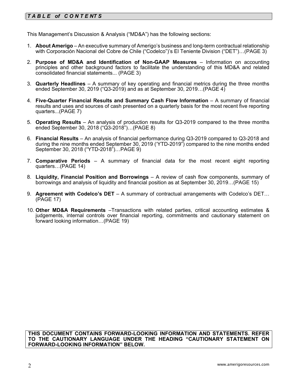# *T A B L E of C O N T E NT S*

This Management's Discussion & Analysis ("MD&A") has the following sections:

- 1. **About Amerigo**  An executive summary of Amerigo's business and long-term contractual relationship with Corporación Nacional del Cobre de Chile ("Codelco")'s El Teniente Division ("DET")…(PAGE 3)
- 2. **Purpose of MD&A and Identification of Non-GAAP Measures**  Information on accounting principles and other background factors to facilitate the understanding of this MD&A and related consolidated financial statements... (PAGE 3)
- 3. **Quarterly Headlines** A summary of key operating and financial metrics during the three months ended September 30, 2019 ("Q3-2019) and as at September 30, 2019…(PAGE 4)
- 4. Five-Quarter Financial Results and Summary Cash Flow Information A summary of financial results and uses and sources of cash presented on a quarterly basis for the most recent five reporting quarters...(PAGE 7)
- 5. **Operating Results** An analysis of production results for Q3-2019 compared to the three months ended September 30, 2018 ("Q3-2018")…(PAGE 8)
- 6. **Financial Results**  An analysis of financial performance during Q3-2019 compared to Q3-2018 and during the nine months ended September 30, 2019 ('YTD-2019") compared to the nine months ended September 30, 2018 ("YTD-2018")…PAGE 9)
- 7. **Comparative Periods** A summary of financial data for the most recent eight reporting quarters…(PAGE 14)
- 8. **Liquidity, Financial Position and Borrowings** A review of cash flow components, summary of borrowings and analysis of liquidity and financial position as at September 30, 2019…(PAGE 15)
- 9. **Agreement with Codelco's DET** A summary of contractual arrangements with Codelco's DET… (PAGE 17)
- 10. **Other MD&A Requirements** –Transactions with related parties, critical accounting estimates & judgements, internal controls over financial reporting, commitments and cautionary statement on forward looking information…(PAGE 19)

**THIS DOCUMENT CONTAINS FORWARD-LOOKING INFORMATION AND STATEMENTS. REFER TO THE CAUTIONARY LANGUAGE UNDER THE HEADING "CAUTIONARY STATEMENT ON FORWARD-LOOKING INFORMATION" BELOW.**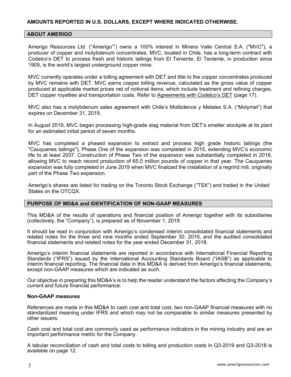## **AMOUNTS REPORTED IN U.S. DOLLARS, EXCEPT WHERE INDICATED OTHERWISE.**

#### **ABOUT AMERIGO**

Amerigo Resources Ltd. ("Amerigo"") owns a 100% interest in Minera Valle Central S.A. ("MVC"), a producer of copper and molybdenum concentrates. MVC, located in Chile, has a long-term contract with Codelco's DET to process fresh and historic tailings from El Teniente. El Teniente, in production since 1905, is the world's largest underground copper mine.

MVC currently operates under a tolling agreement with DET and title to the copper concentrates produced by MVC remains with DET. MVC earns copper tolling revenue, calculated as the gross value of copper produced at applicable market prices net of notional items, which include treatment and refining charges, DET copper royalties and transportation costs. Refer to Agreements with Codelco's DET (page 17).

MVC also has a molybdenum sales agreement with Chile's Molibdenos y Metales S.A. ("Molymet") that expires on December 31, 2019.

In August 2019, MVC began processing high-grade slag material from DET's smelter stockpile at its plant for an estimated initial period of seven months.

MVC has completed a phased expansion to extract and process high grade historic tailings (the "Cauquenes tailings"), Phase One of the expansion was completed in 2015, extending MVC's economic life to at least 2037. Construction of Phase Two of the expansion was substantially completed in 2018, allowing MVC to reach record production of 65.0 million pounds of copper in that year. The Cauquenes expansion was fully completed in June 2019 when MVC finalized the installation of a regrind mill, originally part of the Phase Two expansion.

Amerigo's shares are listed for trading on the Toronto Stock Exchange ("TSX") and traded in the United States on the OTCQX.

#### **PURPOSE OF MD&A and IDENTIFICATION OF NON-GAAP MEASURES**

This MD&A of the results of operations and financial position of Amerigo together with its subsidiaries (collectively, the "Company"), is prepared as of November 1, 2019.

It should be read in conjunction with Amerigo's condensed interim consolidated financial statements and related notes for the three and nine months ended September 30, 2019, and the audited consolidated financial statements and related notes for the year ended December 31, 2018.

Amerigo's interim financial statements are reported in accordance with International Financial Reporting Standards ("IFRS") issued by the International Accounting Standards Board ("IASB") as applicable to interim financial reporting. The financial data in this MD&A is derived from Amerigo's financial statements, except non-GAAP measures which are indicated as such.

Our objective in preparing this MD&A's is to help the reader understand the factors affecting the Company's current and future financial performance.

#### **Non-GAAP measures**

References are made in this MD&A to cash cost and total cost, two non-GAAP financial measures with no standardized meaning under IFRS and which may not be comparable to similar measures presented by other issuers.

Cash cost and total cost are commonly used as performance indicators in the mining industry and are an important performance metric for the Company.

A tabular reconciliation of cash and total costs to tolling and production costs in Q3-2019 and Q3-2018 is available on page 12.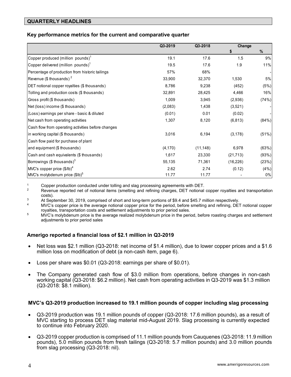## **QUARTERLY HEADLINES**

## **Key performance metrics for the current and comparative quarter**

|                                                    | Q3-2019  | Q3-2018   | Change    |       |
|----------------------------------------------------|----------|-----------|-----------|-------|
|                                                    |          |           | \$        | %     |
| Copper produced (million pounds) $1$               | 19.1     | 17.6      | 1.5       | 9%    |
| Copper delivered (million pounds) <sup>1</sup>     | 19.5     | 17.6      | 1.9       | 11%   |
| Percentage of production from historic tailings    | 57%      | 68%       |           |       |
| Revenue (\$ thousands) $2$                         | 33,900   | 32,370    | 1,530     | 5%    |
| DET notional copper royalties (\$ thousands)       | 8,786    | 9,238     | (452)     | (5%)  |
| Tolling and production costs (\$ thousands)        | 32,891   | 28,425    | 4,466     | 16%   |
| Gross profit (\$ thousands)                        | 1,009    | 3,945     | (2,936)   | (74%) |
| Net (loss) income (\$ thousands)                   | (2,083)  | 1,438     | (3,521)   |       |
| (Loss) earnings per share - basic & diluted        | (0.01)   | 0.01      | (0.02)    |       |
| Net cash from operating activities                 | 1,307    | 8,120     | (6, 813)  | (84%) |
| Cash flow from operating activities before changes |          |           |           |       |
| in working capital (\$ thousands)                  | 3,016    | 6,194     | (3, 178)  | (51%) |
| Cash flow paid for purchase of plant               |          |           |           |       |
| and equipment (\$ thousands)                       | (4, 170) | (11, 148) | 6,978     | (63%) |
| Cash and cash equivalents (\$ thousands)           | 1,617    | 23,330    | (21, 713) | (93%) |
| Borrowings (\$ thousands) $3$                      | 55,135   | 71,361    | (16, 226) | (23%) |
| MVC's copper price $($/lb)^4$                      | 2.62     | 2.74      | (0.12)    | (4% ) |
| MVC's molybdenum price (\$lb) <sup>5</sup>         | 11.77    | 11.77     |           | $0\%$ |

1 Copper production conducted under tolling and slag processing agreements with DET.<br><sup>2</sup> Revenue reported net of notional items (smelting and refining charges, DET notional copper royalties and transportation costs).<br>At September 30, 2019, comprised of short and long-term portions of \$9.4 and \$45.7 million respectively.<br>MVC's copper price is the average notional copper price for the period, before smelting and refining, DET not

royalties, transportation costs and settlement adjustments to prior period sales.<br>5 MVC's molybdenum price is the average realized molybdenum price in the period, before roasting charges and settlement

adjustments to prior period sales

## **Amerigo reported a financial loss of \$2.1 million in Q3-2019**

- Net loss was \$2.1 million (Q3-2018: net income of \$1.4 million), due to lower copper prices and a \$1.6 million loss on modification of debt (a non-cash item, page 6).
- Loss per share was \$0.01 (Q3-2018: earnings per share of \$0.01).
- The Company generated cash flow of \$3.0 million from operations, before changes in non-cash working capital (Q3-2018: \$6.2 million). Net cash from operating activities in Q3-2019 was \$1.3 million (Q3-2018: \$8.1 million).

## **MVC's Q3-2019 production increased to 19.1 million pounds of copper including slag processing**

- Q3-2019 production was 19.1 million pounds of copper (Q3-2018: 17.6 million pounds), as a result of MVC starting to process DET slag material mid-August 2019. Slag processing is currently expected to continue into February 2020.
- Q3-2019 copper production is comprised of 11.1 million pounds from Cauquenes (Q3-2018: 11.9 million pounds), 5.0 million pounds from fresh tailings (Q3-2018: 5.7 million pounds) and 3.0 million pounds from slag processing (Q3-2018: nil).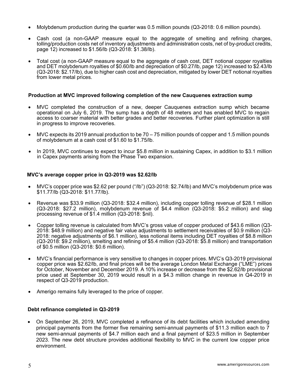- Molybdenum production during the quarter was 0.5 million pounds (Q3-2018: 0.6 million pounds).
- Cash cost (a non-GAAP measure equal to the aggregate of smelting and refining charges, tolling/production costs net of inventory adjustments and administration costs, net of by-product credits, page 12) increased to \$1.56/lb (Q3-2018: \$1.38/lb).
- Total cost (a non-GAAP measure equal to the aggregate of cash cost, DET notional copper royalties and DET molybdenum royalties of \$0.60/lb and depreciation of \$0.27/lb, page 12) increased to \$2.43/lb (Q3-2018: \$2.17/lb), due to higher cash cost and depreciation, mitigated by lower DET notional royalties from lower metal prices.

#### **Production at MVC improved following completion of the new Cauquenes extraction sump**

- MVC completed the construction of a new, deeper Cauquenes extraction sump which became operational on July 6, 2019. The sump has a depth of 48 meters and has enabled MVC to regain access to coarser material with better grades and better recoveries. Further plant optimization is still in progress to improve recoveries.
- MVC expects its 2019 annual production to be 70 75 million pounds of copper and 1.5 million pounds of molybdenum at a cash cost of \$1.60 to \$1.75/lb.
- In 2019, MVC continues to expect to incur \$5.8 million in sustaining Capex, in addition to \$3.1 million in Capex payments arising from the Phase Two expansion.

## **MVC's average copper price in Q3-2019 was \$2.62/lb**

- MVC's copper price was \$2.62 per pound ("/lb") (Q3-2018: \$2.74/lb) and MVC's molybdenum price was \$11.77/lb (Q3-2018: \$11.77/lb).
- Revenue was \$33.9 million (Q3-2018: \$32.4 million), including copper tolling revenue of \$28.1 million (Q3-2018: \$27.2 million), molybdenum revenue of \$4.4 million (Q3-2018: \$5.2 million) and slag processing revenue of \$1.4 million (Q3-2018: \$nil).
- Copper tolling revenue is calculated from MVC's gross value of copper produced of \$43.6 million (Q3- 2018: \$48.9 million) and negative fair value adjustments to settlement receivables of \$0.9 million (Q3- 2018: negative adjustments of \$6.1 million), less notional items including DET royalties of \$8.8 million (Q3-2018: \$9.2 million), smelting and refining of \$5.4 million (Q3-2018: \$5.8 million) and transportation of \$0.5 million (Q3-2018: \$0.6 million).
- MVC's financial performance is very sensitive to changes in copper prices. MVC's Q3-2019 provisional copper price was \$2.62/lb, and final prices will be the average London Metal Exchange ("LME") prices for October, November and December 2019. A 10% increase or decrease from the \$2.62/lb provisional price used at September 30, 2019 would result in a \$4.3 million change in revenue in Q4-2019 in respect of Q3-2019 production.
- Amerigo remains fully leveraged to the price of copper.

## **Debt refinance completed in Q3-2019**

 On September 26, 2019, MVC completed a refinance of its debt facilities which included amending principal payments from the former five remaining semi-annual payments of \$11.3 million each to 7 new semi-annual payments of \$4.7 million each and a final payment of \$23.5 million in September 2023. The new debt structure provides additional flexibility to MVC in the current low copper price environment.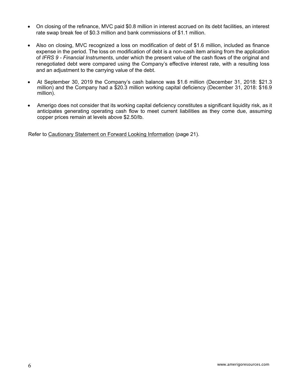- On closing of the refinance, MVC paid \$0.8 million in interest accrued on its debt facilities, an interest rate swap break fee of \$0.3 million and bank commissions of \$1.1 million.
- Also on closing, MVC recognized a loss on modification of debt of \$1.6 million, included as finance expense in the period. The loss on modification of debt is a non-cash item arising from the application of *IFRS 9 - Financial Instruments*, under which the present value of the cash flows of the original and renegotiated debt were compared using the Company's effective interest rate, with a resulting loss and an adjustment to the carrying value of the debt.
- At September 30, 2019 the Company's cash balance was \$1.6 million (December 31, 2018: \$21.3 million) and the Company had a \$20.3 million working capital deficiency (December 31, 2018: \$16.9 million).
- Amerigo does not consider that its working capital deficiency constitutes a significant liquidity risk, as it anticipates generating operating cash flow to meet current liabilities as they come due, assuming copper prices remain at levels above \$2.50/lb.

Refer to Cautionary Statement on Forward Looking Information (page 21).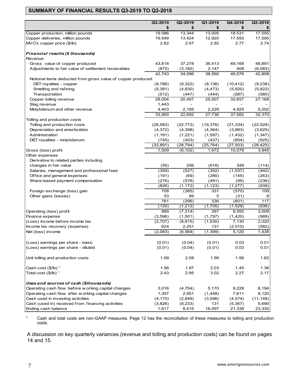# **SUMMARY OF FINANCIAL RESULTS Q3-2019 TO Q3-2018**

|                                                              |                |                | Q1-2019        | Q4-2018        |                |
|--------------------------------------------------------------|----------------|----------------|----------------|----------------|----------------|
|                                                              | Q3-2019<br>\$  | Q2-2019        |                |                | Q3-2018        |
|                                                              |                | \$<br>13.344   | \$             | \$<br>18.531   |                |
| Copper production, million pounds                            | 19.086         |                | 13.005         |                | 17.555         |
| Copper deliveries, million pounds                            | 19.549<br>2.62 | 13.424<br>2.67 | 12.920<br>2.92 | 17.593<br>2.77 | 17,595<br>2.74 |
| MVC's copper price (\$/lb)                                   |                |                |                |                |                |
| Financial results (\$ thousands)                             |                |                |                |                |                |
| Revenue                                                      |                |                |                |                |                |
| Gross value of copper produced                               | 43,618         | 37,278         | 36,413         | 49,168         | 48,891         |
| Adjustments to fair value of settlement receivables          | (875)          | (3, 182)       | 2,147          | 408            | (6,083)        |
|                                                              | 42,743         | 34,096         | 38,560         | 49,576         | 42,808         |
| Notional items deducted from gross value of copper produced: |                |                |                |                |                |
| DET royalties - copper                                       | (8,786)        | (8,322)        | (8, 136)       | (10, 412)      | (9,238)        |
| Smelting and refining                                        | (5, 391)       | (4,830)        | (4, 473)       | (5,920)        | (5,822)        |
| Transportation                                               | (512)          | (447)          | (444)          | (587)          | (580)          |
| Copper tolling revenue                                       | 28,054         | 20,497         | 25,507         | 32,657         | 27,168         |
| Slag revenue                                                 | 1,443          |                |                |                |                |
| Molybdenum and other revenue                                 | 4,403          | 2,195          | 2,229          | 4,925          | 5,202          |
|                                                              | 33,900         | 22,692         | 27,736         | 37,582         | 32,370         |
| Tolling and production costs                                 |                |                |                |                |                |
| Tolling and production costs                                 | (26, 583)      | (22, 772)      | (19, 376)      | (21, 334)      | (22, 528)      |
| Depreciation and amortization                                | (4,372)        | (4,398)        | (4, 364)       | (3,883)        | (3,625)        |
| Administration                                               | (1, 191)       | (1,221)        | (1, 597)       | (1, 432)       | (1, 347)       |
| DET royalties - molybdenum                                   | (745)          | (403)          | (427)          | (854)          | (925)          |
|                                                              | (32, 891)      | (28, 794)      | (25, 764)      | (27, 503)      | (28, 425)      |
| Gross (loss) profit                                          | 1,009          | (6, 102)       | 1,972          | 10,079         | 3,945          |
| Other expenses                                               |                |                |                |                |                |
| Derivative to related parties including                      |                |                |                |                |                |
| changes in fair value                                        | (55)           | 256            | (918)          | 349            | (114)          |
| Salaries, management and professional fees                   | (359)          | (527)          | (352)          | (1,037)        | (440)          |
| Office and general expenses                                  | (191)          | (69)           | (280)          | (145)          | (263)          |
| Share-based payment compensation                             | (276)          | (576)          | (491)          | (95)           | (236)          |
|                                                              | (826)          | (1, 172)       | (1, 123)       | (1, 277)       | (939)          |
| Foreign exchange (loss) gain                                 | 708            | (385)          | 331            | (570)          | 109            |
| Other gains (losses)                                         | 53             | 89             | 5              | (31)           | 8              |
|                                                              | 761            | (296)          | 336            | (601)          | 117            |
|                                                              | (120)          | (1,212)        | (1,705)        | (1,529)        | (936)          |
| Operating (loss) profit                                      | 889            | (7, 314)       | 267            | 8,550          | 3,009          |
| Finance expense                                              | (3,596)        | (1,501)        | (1,797)        | (1,420)        | (989)          |
| (Loss) income before income tax                              | (2,707)        | (8, 815)       | (1,530)        | 7,130          | 2,020          |
| Income tax recovery (expense)                                | 624            | 2,251          | 131            | (2,010)        | (582)          |
| Net (loss) income                                            | (2,083)        | (6, 564)       | (1, 399)       | 5,120          | 1,438          |
| (Loss) earnings per share - basic                            | (0.01)         | (0.04)         | (0.01)         | 0.03           | 0.01           |
| (Loss) earnings per share - diluted                          | (0.01)         | (0.04)         | (0.01)         | 0.03           | 0.01           |
|                                                              |                |                |                |                |                |
| Unit tolling and production costs                            | 1.99           | 2.08           | 1.99           | 1.56           | 1.62           |
| Cash cost $($/lb)$ <sup>1</sup>                              | 1.56           | 1.97           | 2.03           | 1.45           | 1.38           |
| Total cost (\$/lb) $^\text{1}$                               | 2.43           | 2.95           | 3.02           | 2.27           | 2.17           |
| Uses and sources of cash (\$thousands)                       |                |                |                |                |                |
| Operating cash flow before w orking capital changes          | 3,016          | (4, 754)       | 5,170          | 9,228          | 6,194          |
| Operating cash flow after w orking capital changes           | 1,307          | 2,951          | (1, 448)       | 7,811          | 8,120          |
| Cash used in investing activities                            | (4, 170)       | (2,849)        | (3, 596)       | (4, 574)       | (11, 148)      |
| Cash (used in) received from financing activities            | (3,826)        | (8,233)        | 131            | (5, 367)       | 5,690          |
| Ending cash balance                                          | 1,617          | 8,415          | 16,597         | 21,338         | 23,330         |

1 Cash and total costs are non-GAAP measures. Page 12 has the reconciliation of these measures to tolling and production costs.

A discussion on key quarterly variances (revenue and tolling and production costs) can be found on pages 14 and 15.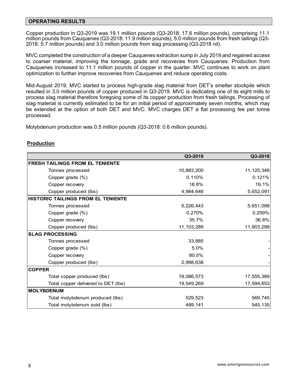#### **OPERATING RESULTS**

Copper production in Q3-2019 was 19.1 million pounds (Q3-2018: 17.6 million pounds), comprising 11.1 million pounds from Cauquenes (Q3-2018: 11.9 million pounds), 5.0 million pounds from fresh tailings (Q3- 2018: 5.7 million pounds) and 3.0 million pounds from slag processing (Q3-2018 nil).

MVC completed the construction of a deeper Cauquenes extraction sump in July 2019 and regained access to coarser material, improving the tonnage, grade and recoveries from Cauquenes. Production from Cauquenes increased to 11.1 million pounds of copper in the quarter. MVC continues to work on plant optimization to further improve recoveries from Cauquenes and reduce operating costs.

Mid-August 2019, MVC started to process high-grade slag material from DET's smelter stockpile which resulted in 3.0 million pounds of copper produced in Q3-2019. MVC is dedicating one of its eight mills to process slag material therefore foregoing some of its copper production from fresh tailings. Processing of slag material is currently estimated to be for an initial period of approximately seven months, which may be extended at the option of both DET and MVC. MVC charges DET a flat processing fee per tonne processed.

Molybdenum production was 0.5 million pounds (Q3-2018: 0.6 million pounds).

|                                     | Q3-2019      | Q3-2018      |
|-------------------------------------|--------------|--------------|
| FRESH TAILINGS FROM EL TENIENTE     |              |              |
| Tonnes processed                    | 10,883,200   | 11, 125, 346 |
| Copper grade (%)                    | 0.110%       | 0.121%       |
| Copper recovery                     | 18.8%        | 19.1%        |
| Copper produced (lbs)               | 4,984,646    | 5,652,091    |
| HISTORIC TAILINGS FROM EL TENIENTE  |              |              |
| Tonnes processed                    | 5,226,443    | 5,651,098    |
| Copper grade (%)                    | 0.270%       | 0.259%       |
| Copper recovery                     | 35.7%        | 36.8%        |
| Copper produced (lbs)               | 11, 103, 289 | 11,903,298   |
| <b>SLAG PROCESSING</b>              |              |              |
| Tonnes processed                    | 33,885       |              |
| Copper grade (%)                    | 5.0%         |              |
| Copper recovery                     | 80.5%        |              |
| Copper produced (lbs)               | 2,998,638    |              |
| <b>COPPER</b>                       |              |              |
| Total copper produced (lbs)         | 19,086,573   | 17,555,389   |
| Total copper delivered to DET (lbs) | 19,549,269   | 17,594,653   |
| <b>MOLYBDENUM</b>                   |              |              |
| Total molybdenum produced (lbs)     | 529,523      | 569,745      |
| Total molybdenum sold (lbs)         | 489,141      | 545,135      |

## **Production**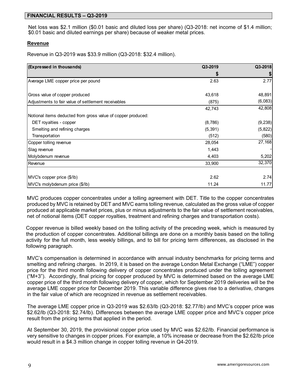## **FINANCIAL RESULTS – Q3-2019**

Net loss was \$2.1 million (\$0.01 basic and diluted loss per share) (Q3-2018: net income of \$1.4 million; \$0.01 basic and diluted earnings per share) because of weaker metal prices.

#### **Revenue**

Revenue in Q3-2019 was \$33.9 million (Q3-2018: \$32.4 million).

| (Expressed in thousands)                                     | Q3-2019  | Q3-2018  |
|--------------------------------------------------------------|----------|----------|
|                                                              | S        | \$       |
| Average LME copper price per pound                           | 2.63     | 2.77     |
| Gross value of copper produced                               | 43,618   | 48,891   |
| Adjustments to fair value of settlement receivables          | (875)    | (6,083)  |
|                                                              | 42,743   | 42,808   |
| Notional items deducted from gross value of copper produced: |          |          |
| DET royalties - copper                                       | (8,786)  | (9, 238) |
| Smelting and refining charges                                | (5, 391) | (5,822)  |
| Transportation                                               | (512)    | (580)    |
| Copper tolling revenue                                       | 28,054   | 27,168   |
| Slag revenue                                                 | 1,443    |          |
| Molybdenum revenue                                           | 4,403    | 5,202    |
| Revenue                                                      | 33,900   | 32,370   |
| MVC's copper price (\$/lb)                                   | 2.62     | 2.74     |
| MVC's molybdenum price (\$/lb)                               | 11.24    | 11.77    |

MVC produces copper concentrates under a tolling agreement with DET. Title to the copper concentrates produced by MVC is retained by DET and MVC earns tolling revenue, calculated as the gross value of copper produced at applicable market prices, plus or minus adjustments to the fair value of settlement receivables, net of notional items (DET copper royalties, treatment and refining charges and transportation costs).

Copper revenue is billed weekly based on the tolling activity of the preceding week, which is measured by the production of copper concentrates. Additional billings are done on a monthly basis based on the tolling activity for the full month, less weekly billings, and to bill for pricing term differences, as disclosed in the following paragraph.

MVC's compensation is determined in accordance with annual industry benchmarks for pricing terms and smelting and refining charges. In 2019, it is based on the average London Metal Exchange ("LME") copper price for the third month following delivery of copper concentrates produced under the tolling agreement  $("M+3")$ . Accordingly, final pricing for copper produced by MVC is determined based on the average LME copper price of the third month following delivery of copper, which for September 2019 deliveries will be the average LME copper price for December 2019. This variable difference gives rise to a derivative, changes in the fair value of which are recognized in revenue as settlement receivables.

The average LME copper price in Q3-2019 was \$2.63/lb (Q3-2018: \$2.77/lb) and MVC's copper price was \$2.62/lb (Q3-2018: \$2.74/lb). Differences between the average LME copper price and MVC's copper price result from the pricing terms that applied in the period.

At September 30, 2019, the provisional copper price used by MVC was \$2.62/lb. Financial performance is very sensitive to changes in copper prices. For example, a 10% increase or decrease from the \$2.62/lb price would result in a \$4.3 million change in copper tolling revenue in Q4-2019.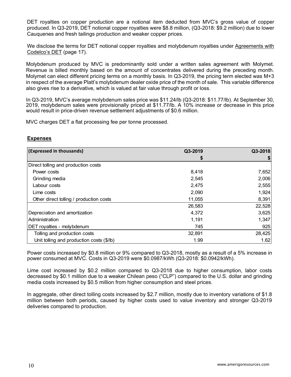DET royalties on copper production are a notional item deducted from MVC's gross value of copper produced. In Q3-2019, DET notional copper royalties were \$8.8 million, (Q3-2018: \$9.2 million) due to lower Cauquenes and fresh tailings production and weaker copper prices.

We disclose the terms for DET notional copper royalties and molybdenum royalties under Agreements with Codelco's DET (page 17).

Molybdenum produced by MVC is predominantly sold under a written sales agreement with Molymet. Revenue is billed monthly based on the amount of concentrates delivered during the preceding month. Molymet can elect different pricing terms on a monthly basis. In Q3-2019, the pricing term elected was M+3 in respect of the average Platt's molybdenum dealer oxide price of the month of sale. This variable difference also gives rise to a derivative, which is valued at fair value through profit or loss.

In Q3-2019, MVC's average molybdenum sales price was \$11.24/lb (Q3-2018: \$11.77/lb). At September 30, 2019, molybdenum sales were provisionally priced at \$11.77/lb. A 10% increase or decrease in this price would result in price-driven revenue settlement adjustments of \$0.6 million.

MVC charges DET a flat processing fee per tonne processed.

#### **Expenses**

| (Expressed in thousands)                  | Q3-2019 | Q3-2018 |
|-------------------------------------------|---------|---------|
|                                           |         |         |
| Direct tolling and production costs       |         |         |
| Power costs                               | 8,418   | 7,652   |
| Grinding media                            | 2,545   | 2,006   |
| Labour costs                              | 2,475   | 2,555   |
| Lime costs                                | 2,090   | 1,924   |
| Other direct tolling / production costs   | 11,055  | 8,391   |
|                                           | 26,583  | 22,528  |
| Depreciation and amortization             | 4,372   | 3,625   |
| Administration                            | 1,191   | 1,347   |
| DET royalties - molybdenum                | 745     | 925     |
| Tolling and production costs              | 32,891  | 28,425  |
| Unit tolling and production costs (\$/lb) | 1.99    | 1.62    |

Power costs increased by \$0.8 million or 9% compared to Q3-2018, mostly as a result of a 5% increase in power consumed at MVC. Costs in Q3-2019 were \$0.0987/kWh (Q3-2018: \$0.0942/kWh).

Lime cost increased by \$0.2 million compared to Q3-2018 due to higher consumption, labor costs decreased by \$0.1 million due to a weaker Chilean peso ("CLP") compared to the U.S. dollar and grinding media costs increased by \$0.5 million from higher consumption and steel prices.

In aggregate, other direct tolling costs increased by \$2.7 million, mostly due to inventory variations of \$1.8 million between both periods, caused by higher costs used to value inventory and stronger Q3-2019 deliveries compared to production.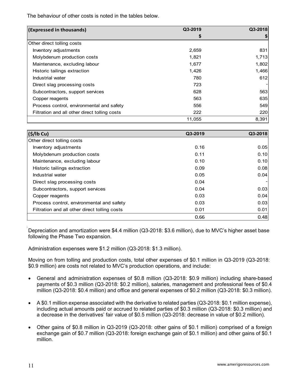The behaviour of other costs is noted in the tables below.

| (Expressed in thousands)                      | Q3-2019 | Q3-2018 |
|-----------------------------------------------|---------|---------|
|                                               |         |         |
| Other direct tolling costs                    |         |         |
| Inventory adjustments                         | 2,659   | 831     |
| Molybdenum production costs                   | 1,821   | 1,713   |
| Maintenance, excluding labour                 | 1,677   | 1,802   |
| Historic tailings extraction                  | 1,426   | 1,466   |
| Industrial water                              | 780     | 612     |
| Direct slag processing costs                  | 723     |         |
| Subcontractors, support services              | 628     | 563     |
| Copper reagents                               | 563     | 635     |
| Process control, environmental and safety     | 556     | 549     |
| Filtration and all other direct tolling costs | 222     | 220     |
|                                               | 11,055  | 8,391   |

| (S/lb Cu)                                     | Q3-2019 | Q3-2018 |
|-----------------------------------------------|---------|---------|
| Other direct tolling costs                    |         |         |
| Inventory adjustments                         | 0.16    | 0.05    |
| Molybdenum production costs                   | 0.11    | 0.10    |
| Maintenance, excluding labour                 | 0.10    | 0.10    |
| Historic tailings extraction                  | 0.09    | 0.08    |
| Industrial water                              | 0.05    | 0.04    |
| Direct slag processing costs                  | 0.04    |         |
| Subcontractors, support services              | 0.04    | 0.03    |
| Copper reagents                               | 0.03    | 0.04    |
| Process control, environmental and safety     | 0.03    | 0.03    |
| Filtration and all other direct tolling costs | 0.01    | 0.01    |
|                                               | 0.66    | 0.48    |

Depreciation and amortization were \$4.4 million (Q3-2018: \$3.6 million), due to MVC's higher asset base following the Phase Two expansion.

Administration expenses were \$1.2 million (Q3-2018: \$1.3 million).

Moving on from tolling and production costs, total other expenses of \$0.1 million in Q3-2019 (Q3-2018: \$0.9 million) are costs not related to MVC's production operations, and include:

- General and administration expenses of \$0.8 million (Q3-2018: \$0.9 million) including share-based payments of \$0.3 million (Q3-2018: \$0.2 million), salaries, management and professional fees of \$0.4 million (Q3-2018: \$0.4 million) and office and general expenses of \$0.2 million (Q3-2018: \$0.3 million).
- A \$0.1 million expense associated with the derivative to related parties (Q3-2018: \$0.1 million expense), including actual amounts paid or accrued to related parties of \$0.3 million (Q3-2018: \$0.3 million) and a decrease in the derivatives' fair value of \$0.5 million (Q3-2018: decrease in value of \$0.2 million).
- Other gains of \$0.8 million in Q3-2019 (Q3-2018: other gains of \$0.1 million) comprised of a foreign exchange gain of \$0.7 million (Q3-2018: foreign exchange gain of \$0.1 million) and other gains of \$0.1 million.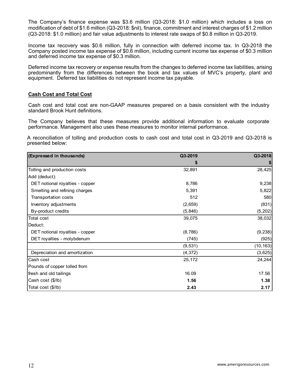The Company's finance expense was \$3.6 million (Q3-2018: \$1.0 million) which includes a loss on modification of debt of \$1.6 million (Q3-2018: \$nil), finance, commitment and interest charges of \$1.2 million (Q3-2018: \$1.0 million) and fair value adjustments to interest rate swaps of \$0.8 million in Q3-2019.

Income tax recovery was \$0.6 million, fully in connection with deferred income tax. In Q3-2018 the Company posted income tax expense of \$0.6 million, including current income tax expense of \$0.3 million and deferred income tax expense of \$0.3 million.

Deferred income tax recovery or expense results from the changes to deferred income tax liabilities, arising predominantly from the differences between the book and tax values of MVC's property, plant and equipment. Deferred tax liabilities do not represent income tax payable.

#### **Cash Cost and Total Cost**

Cash cost and total cost are non-GAAP measures prepared on a basis consistent with the industry standard Brook Hunt definitions.

The Company believes that these measures provide additional information to evaluate corporate performance. Management also uses these measures to monitor internal performance.

A reconciliation of tolling and production costs to cash cost and total cost in Q3-2019 and Q3-2018 is presented below:

| (Expressed in thousands)        | Q3-2019  | Q3-2018   |
|---------------------------------|----------|-----------|
|                                 | \$       |           |
| Tolling and production costs    | 32,891   | 28,425    |
| Add (deduct):                   |          |           |
| DET notional royalties - copper | 8,786    | 9,238     |
| Smelting and refining charges   | 5,391    | 5,822     |
| Transportation costs            | 512      | 580       |
| Inventory adjustments           | (2,659)  | (831)     |
| By-product credits              | (5,846)  | (5, 202)  |
| <b>Total cost</b>               | 39,075   | 38,032    |
| Deduct:                         |          |           |
| DET notional royalties - copper | (8,786)  | (9, 238)  |
| DET royalties - molybdenum      | (745)    | (925)     |
|                                 | (9,531)  | (10, 163) |
| Depreciation and amortization   | (4, 372) | (3,625)   |
| Cash cost                       | 25,172   | 24,244    |
| Pounds of copper tolled from    |          |           |
| fresh and old tailings          | 16.09    | 17.56     |
| Cash cost (\$/lb)               | 1.56     | 1.38      |
| Total cost (\$/lb)              | 2.43     | 2.17      |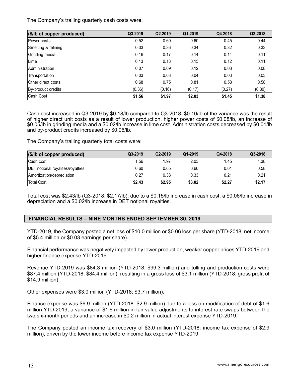The Company's trailing quarterly cash costs were:

| (\$/lb of copper produced) | Q3-2019 | Q2-2019 | Q1-2019 | Q4-2018 | Q3-2018 |
|----------------------------|---------|---------|---------|---------|---------|
| <b>Power costs</b>         | 0.52    | 0.60    | 0.60    | 0.45    | 0.44    |
| Smelting & refining        | 0.33    | 0.36    | 0.34    | 0.32    | 0.33    |
| Grinding media             | 0.16    | 0.17    | 0.14    | 0.14    | 0.11    |
| Lime                       | 0.13    | 0.13    | 0.15    | 0.12    | 0.11    |
| Administration             | 0.07    | 0.09    | 0.12    | 0.08    | 0.08    |
| Transportation             | 0.03    | 0.03    | 0.04    | 0.03    | 0.03    |
| <b>Other direct costs</b>  | 0.68    | 0.75    | 0.81    | 0.58    | 0.58    |
| By-product credits         | (0.36)  | (0.16)  | (0.17)  | (0.27)  | (0.30)  |
| Cash Cost                  | \$1.56  | \$1.97  | \$2.03  | \$1.45  | \$1.38  |

Cash cost increased in Q3-2019 by \$0.18/lb compared to Q3-2018. \$0.10/lb of the variance was the result of higher direct unit costs as a result of lower production, higher power costs of \$0.08/lb, an increase of \$0.05/lb in grinding media and a \$0.02/lb increase in lime cost. Administration costs decreased by \$0.01/lb and by-product credits increased by \$0.06/lb.

The Company's trailing quarterly total costs were:

| (\$/lb of copper produced)              | Q3-2019 | Q2-2019 | Q1-2019 | Q4-2018 | Q3-2018 |
|-----------------------------------------|---------|---------|---------|---------|---------|
| Cash cost                               | . 56    | 1.97    | 2.03    | 1.45    | 1.38    |
| <b>DET</b> notional royalites/royalties | 0.60    | 0.65    | 0.66    | 0.61    | 0.58    |
| <b>Amortization/depreciation</b>        | 0.27    | 0.33    | 0.33    | 0.21    | 0.21    |
| <b>Total Cost</b>                       | \$2.43  | \$2.95  | \$3.02  | \$2.27  | \$2.17  |

Total cost was \$2.43/lb (Q3-2018: \$2.17/lb), due to a \$0.15/lb increase in cash cost, a \$0.06/lb increase in depreciation and a \$0.02/lb increase in DET notional royalties.

## **FINANCIAL RESULTS – NINE MONTHS ENDED SEPTEMBER 30, 2019**

YTD-2019, the Company posted a net loss of \$10.0 million or \$0.06 loss per share (YTD-2018: net income of \$5.4 million or \$0.03 earnings per share).

Financial performance was negatively impacted by lower production, weaker copper prices YTD-2019 and higher finance expense YTD-2019.

Revenue YTD-2019 was \$84.3 million (YTD-2018: \$99.3 million) and tolling and production costs were \$87.4 million (YTD-2018: \$84.4 million), resulting in a gross loss of \$3.1 million (YTD-2018: gross profit of \$14.9 million).

Other expenses were \$3.0 million (YTD-2018: \$3.7 million).

Finance expense was \$6.9 million (YTD-2018: \$2.9 million) due to a loss on modification of debt of \$1.6 million YTD-2019, a variance of \$1.6 million in fair value adjustments to interest rate swaps between the two six-month periods and an increase in \$0.2 million in actual interest expense YTD-2019.

The Company posted an income tax recovery of \$3.0 million (YTD-2018: income tax expense of \$2.9 million), driven by the lower income before income tax expense YTD-2019.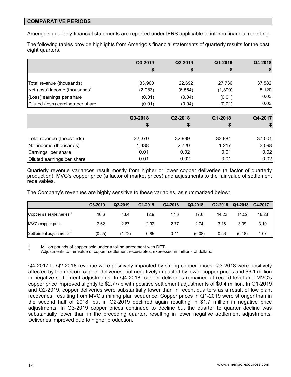#### **COMPARATIVE PERIODS**

Amerigo's quarterly financial statements are reported under IFRS applicable to interim financial reporting.

The following tables provide highlights from Amerigo's financial statements of quarterly results for the past eight quarters.

|                                   | Q3-2019 | Q2-2019  | Q1-2019  | Q4-2018 |
|-----------------------------------|---------|----------|----------|---------|
|                                   | \$      | \$       | \$       |         |
|                                   |         |          |          |         |
| Total revenue (thousands)         | 33,900  | 22,692   | 27,736   | 37,582  |
| Net (loss) income (thousands)     | (2,083) | (6, 564) | (1, 399) | 5,120   |
| (Loss) earnings per share         | (0.01)  | (0.04)   | (0.01)   | 0.03    |
| Diluted (loss) earnings per share | (0.01)  | (0.04)   | (0.01)   | 0.03    |
|                                   |         |          |          |         |
|                                   | Q3-2018 | Q2-2018  | Q1-2018  | Q4-2017 |
|                                   | \$      |          |          |         |
| Total revenue (thousands)         | 32,370  | 32,999   | 33,881   | 37,001  |
| Net income (thousands)            | 1,438   | 2,720    | 1,217    | 3,098   |
| Earnings per share                | 0.01    | 0.02     | 0.01     | 0.02    |
| Diluted earnings per share        | 0.01    | 0.02     | 0.01     | 0.02    |

Quarterly revenue variances result mostly from higher or lower copper deliveries (a factor of quarterly production), MVC's copper price (a factor of market prices) and adjustments to the fair value of settlement receivables.

The Company's revenues are highly sensitive to these variables, as summarized below:

|                                      | Q3-2019 | Q2-2019 | Q1-2019 | Q4-2018 | Q3-2018 | Q2-2018 | Q1-2018 | Q4-2017 |
|--------------------------------------|---------|---------|---------|---------|---------|---------|---------|---------|
| Copper sales/deliveries <sup>1</sup> | 16.6    | 13.4    | 12.9    | 17.6    | 17.6    | 14.22   | 14.52   | 16.28   |
| MVC's copper price                   | 2.62    | 2.67    | 2.92    | 2.77    | 2.74    | 3.16    | 3.09    | 3.10    |
| Settlement adjustments <sup>2</sup>  | (0.55)  | (1.72)  | 0.85    | 0.41    | (6.08)  | 0.56    | (0.18)  | 1.07    |

<sup>1</sup> Million pounds of copper sold under a tolling agreement with DET.<br><sup>2</sup> Adjustments to fair value of copper settlement receivables, expressed in millions of dollars.

Q4-2017 to Q2-2018 revenue were positively impacted by strong copper prices. Q3-2018 were positively affected by then record copper deliveries, but negatively impacted by lower copper prices and \$6.1 million in negative settlement adjustments. In Q4-2018, copper deliveries remained at record level and MVC's copper price improved slightly to \$2.77/lb with positive settlement adjustments of \$0.4 million. In Q1-2019 and Q2-2019, copper deliveries were substantially lower than in recent quarters as a result of low plant recoveries, resulting from MVC's mining plan sequence. Copper prices in Q1-2019 were stronger than in the second half of 2018, but in Q2-2019 declined again resulting in \$1.7 million in negative price adjustments. In Q3-2019 copper prices continued to decline but the quarter to quarter decline was substantially lower than in the preceding quarter, resulting in lower negative settlement adjustments. Deliveries improved due to higher production.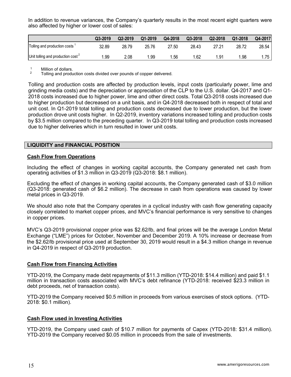In addition to revenue variances, the Company's quarterly results in the most recent eight quarters were also affected by higher or lower cost of sales:

|                                               | Q3-2019 | Q2-2019 | Q1-2019 | Q4-2018 | Q3-2018 | Q2-2018 | Q1-2018 | Q4-2017 |
|-----------------------------------------------|---------|---------|---------|---------|---------|---------|---------|---------|
| Tolling and production costs                  | 32.89   | 28.79   | 25.76   | 27.50   | 28.43   | 27.21   | 28.72   | 28.54   |
| Unit tolling and production cost <sup>2</sup> | .99     | 2.08    | 1.99    | .56     | 1.62    | .91     | 1.98    | . 75    |

 $\frac{1}{2}$  Million of dollars.

2 Tolling and production costs divided over pounds of copper delivered.

Tolling and production costs are affected by production levels, input costs (particularly power, lime and grinding media costs) and the depreciation or appreciation of the CLP to the U.S. dollar. Q4-2017 and Q1- 2018 costs increased due to higher power, lime and other direct costs. Total Q3-2018 costs increased due to higher production but decreased on a unit basis, and in Q4-2018 decreased both in respect of total and unit cost. In Q1-2019 total tolling and production costs decreased due to lower production, but the lower production drove unit costs higher. In Q2-2019, inventory variations increased tolling and production costs by \$3.5 million compared to the preceding quarter. In Q3-2019 total tolling and production costs increased due to higher deliveries which in turn resulted in lower unit costs.

#### **LIQUIDITY and FINANCIAL POSITION**

#### **Cash Flow from Operations**

Including the effect of changes in working capital accounts, the Company generated net cash from operating activities of \$1.3 million in Q3-2019 (Q3-2018: \$8.1 million).

Excluding the effect of changes in working capital accounts, the Company generated cash of \$3.0 million (Q3-2018: generated cash of \$6.2 million). The decrease in cash from operations was caused by lower metal prices in Q3-2019.

We should also note that the Company operates in a cyclical industry with cash flow generating capacity closely correlated to market copper prices, and MVC's financial performance is very sensitive to changes in copper prices.

MVC's Q3-2019 provisional copper price was \$2.62/lb, and final prices will be the average London Metal Exchange ("LME") prices for October, November and December 2019. A 10% increase or decrease from the \$2.62/lb provisional price used at September 30, 2019 would result in a \$4.3 million change in revenue in Q4-2019 in respect of Q3-2019 production.

#### **Cash Flow from Financing Activities**

YTD-2019, the Company made debt repayments of \$11.3 million (YTD-2018: \$14.4 million) and paid \$1.1 million in transaction costs associated with MVC's debt refinance (YTD-2018: received \$23.3 million in debt proceeds, net of transaction costs).

YTD-2019 the Company received \$0.5 million in proceeds from various exercises of stock options. (YTD-2018: \$0.1 million).

#### **Cash Flow used in Investing Activities**

YTD-2019, the Company used cash of \$10.7 million for payments of Capex (YTD-2018: \$31.4 million). YTD-2019 the Company received \$0.05 million in proceeds from the sale of investments.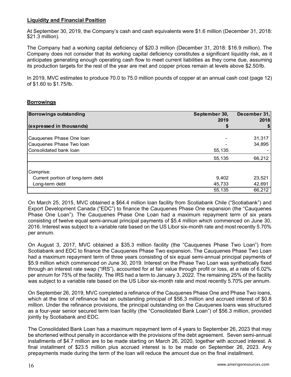## **Liquidity and Financial Position**

At September 30, 2019, the Company's cash and cash equivalents were \$1.6 million (December 31, 2018: \$21.3 million).

The Company had a working capital deficiency of \$20.3 million (December 31, 2018: \$16.9 million). The Company does not consider that its working capital deficiency constitutes a significant liquidity risk, as it anticipates generating enough operating cash flow to meet current liabilities as they come due, assuming its production targets for the rest of the year are met and copper prices remain at levels above \$2.50/lb.

In 2019, MVC estimates to produce 70.0 to 75.0 million pounds of copper at an annual cash cost (page 12) of \$1.60 to \$1.75/lb.

## **Borrowings**

| <b>Borrowings outstanding</b>                        | September 30,<br>2019 | December 31,<br>2018 |
|------------------------------------------------------|-----------------------|----------------------|
| (expressed in thousands)                             |                       |                      |
|                                                      |                       |                      |
| Cauquenes Phase One loan<br>Cauquenes Phase Two loan |                       | 31,317<br>34,895     |
| Consolidated bank loan                               | 55,135                |                      |
|                                                      | 55,135                | 66,212               |
|                                                      |                       |                      |
| Comprise:                                            |                       |                      |
| Current portion of long-term debt                    | 9,402                 | 23,521               |
| Long-term debt                                       | 45,733                | 42,691               |
|                                                      | 55.135                | 66,212               |

On March 25, 2015, MVC obtained a \$64.4 million loan facility from Scotiabank Chile ("Scotiabank") and Export Development Canada ("EDC") to finance the Cauquenes Phase One expansion (the "Cauquenes Phase One Loan"). The Cauquenes Phase One Loan had a maximum repayment term of six years consisting of twelve equal semi-annual principal payments of \$5.4 million which commenced on June 30, 2016. Interest was subject to a variable rate based on the US Libor six-month rate and most recently 5.70% per annum.

On August 3, 2017, MVC obtained a \$35.3 million facility (the "Cauquenes Phase Two Loan") from Scotiabank and EDC to finance the Cauquenes Phase Two expansion. The Cauquenes Phase Two Loan had a maximum repayment term of three years consisting of six equal semi-annual principal payments of \$5.9 million which commenced on June 30, 2019. Interest on the Phase Two Loan was synthetically fixed through an interest rate swap ("IRS"), accounted for at fair value through profit or loss, at a rate of 6.02% per annum for 75% of the facility. The IRS had a term to January 3, 2022. The remaining 25% of the facility was subject to a variable rate based on the US Libor six-month rate and most recently 5.70% per annum.

On September 26, 2019, MVC completed a refinance of the Cauquenes Phase One and Phase Two loans, which at the time of refinance had an outstanding principal of \$56.3 million and accrued interest of \$0.8 million. Under the refinance provisions, the principal outstanding on the Cauquenes loans was structured as a four-year senior secured term loan facility (the "Consolidated Bank Loan") of \$56.3 million, provided jointly by Scotiabank and EDC.

The Consolidated Bank Loan has a maximum repayment term of 4 years to September 26, 2023 that may be shortened without penalty in accordance with the provisions of the debt agreement. Seven semi-annual installments of \$4.7 million are to be made starting on March 26, 2020, together with accrued interest. A final installment of \$23.5 million plus accrued interest is to be made on September 26, 2023. Any prepayments made during the term of the loan will reduce the amount due on the final installment.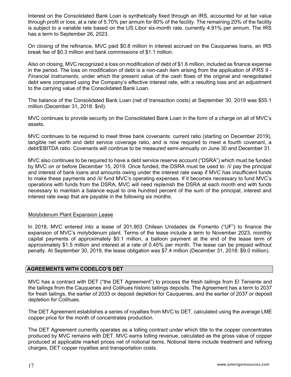Interest on the Consolidated Bank Loan is synthetically fixed through an IRS, accounted for at fair value through profit or loss, at a rate of 5.70% per annum for 80% of the facility. The remaining 20% of the facility is subject to a variable rate based on the US Libor six-month rate, currently 4.91% per annum. The IRS has a term to September 26, 2023.

On closing of the refinance, MVC paid \$0.8 million in interest accrued on the Cauquenes loans, an IRS break fee of \$0.3 million and bank commissions of \$1.1 million.

Also on closing, MVC recognized a loss on modification of debt of \$1.6 million, included as finance expense in the period. The loss on modification of debt is a non-cash item arising from the application of *IFRS 9 - Financial Instruments*, under which the present value of the cash flows of the original and renegotiated debt were compared using the Company's effective interest rate, with a resulting loss and an adjustment to the carrying value of the Consolidated Bank Loan.

The balance of the Consolidated Bank Loan (net of transaction costs) at September 30, 2019 was \$55.1 million (December 31, 2018: \$nil).

MVC continues to provide security on the Consolidated Bank Loan in the form of a charge on all of MVC's assets.

MVC continues to be required to meet three bank covenants: current ratio (starting on December 2019), tangible net worth and debt service coverage ratio, and is now required to meet a fourth covenant, a debt/EBITDA ratio. Covenants will continue to be measured semi-annually on June 30 and December 31.

MVC also continues to be required to have a debt service reserve account ("DSRA") which must be funded by MVC on or before December 15, 2019. Once funded, the DSRA must be used to: /i/ pay the principal and interest of bank loans and amounts owing under the interest rate swap if MVC has insufficient funds to make these payments and /ii/ fund MVC's operating expenses. If it becomes necessary to fund MVC's operations with funds from the DSRA, MVC will need replenish the DSRA at each month end with funds necessary to maintain a balance equal to one hundred percent of the sum of the principal, interest and interest rate swap that are payable in the following six months.

## Molybdenum Plant Expansion Lease

In 2018, MVC entered into a lease of 201,903 Chilean Unidades de Fomento ("UF") to finance the expansion of MVC's molybdenum plant. Terms of the lease include a term to November 2023, monthly capital payments of approximately \$0.1 million, a balloon payment at the end of the lease term of approximately \$1.5 million and interest at a rate of 0.45% per month. The lease can be prepaid without penalty. At September 30, 2019, the lease obligation was \$7.4 million (December 31, 2018: \$9.0 million).

## **AGREEMENTS WITH CODELCO'S DET**

MVC has a contract with DET ("the DET Agreement") to process the fresh tailings from El Teniente and the tailings from the Cauquenes and Colihues historic tailings deposits. The Agreement has a term to 2037 for fresh tailings, the earlier of 2033 or deposit depletion for Cauquenes, and the earlier of 2037 or deposit depletion for Colihues.

The DET Agreement establishes a series of royalties from MVC to DET, calculated using the average LME copper price for the month of concentrates production.

The DET Agreement currently operates as a tolling contract under which title to the copper concentrates produced by MVC remains with DET. MVC earns tolling revenue, calculated as the gross value of copper produced at applicable market prices net of notional items. Notional items include treatment and refining charges, DET copper royalties and transportation costs.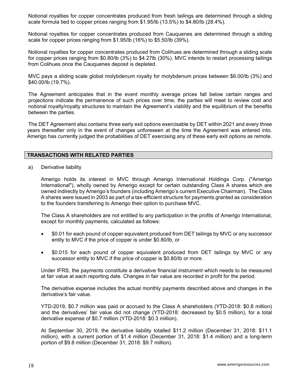Notional royalties for copper concentrates produced from fresh tailings are determined through a sliding scale formula tied to copper prices ranging from \$1.95/lb (13.5%) to \$4.80/lb (28.4%).

Notional royalties for copper concentrates produced from Cauquenes are determined through a sliding scale for copper prices ranging from \$1.95/lb (16%) to \$5.50/lb (39%).

Notional royalties for copper concentrates produced from Colihues are determined through a sliding scale for copper prices ranging from \$0.80/lb (3%) to \$4.27lb (30%). MVC intends to restart processing tailings from Colihues once the Cauquenes deposit is depleted.

MVC pays a sliding scale global molybdenum royalty for molybdenum prices between \$6.00/lb (3%) and \$40.00/lb (19.7%).

The Agreement anticipates that in the event monthly average prices fall below certain ranges and projections indicate the permanence of such prices over time, the parties will meet to review cost and notional royalty/royalty structures to maintain the Agreement's viability and the equilibrium of the benefits between the parties.

The DET Agreement also contains three early exit options exercisable by DET within 2021 and every three years thereafter only in the event of changes unforeseen at the time the Agreement was entered into. Amerigo has currently judged the probabilities of DET exercising any of these early exit options as remote.

## **TRANSACTIONS WITH RELATED PARTIES**

a) Derivative liability

Amerigo holds its interest in MVC through Amerigo International Holdings Corp. ("Amerigo International"), wholly owned by Amerigo except for certain outstanding Class A shares which are owned indirectly by Amerigo's founders (including Amerigo's current Executive Chairman). The Class A shares were issued in 2003 as part of a tax-efficient structure for payments granted as consideration to the founders transferring to Amerigo their option to purchase MVC.

The Class A shareholders are not entitled to any participation in the profits of Amerigo International, except for monthly payments, calculated as follows:

- \$0.01 for each pound of copper equivalent produced from DET tailings by MVC or any successor entity to MVC if the price of copper is under \$0.80/lb, or
- \$0.015 for each pound of copper equivalent produced from DET tailings by MVC or any successor entity to MVC if the price of copper is \$0.80/lb or more.

Under IFRS, the payments constitute a derivative financial instrument which needs to be measured at fair value at each reporting date. Changes in fair value are recorded in profit for the period.

The derivative expense includes the actual monthly payments described above and changes in the derivative's fair value.

YTD-2019, \$0.7 million was paid or accrued to the Class A shareholders (YTD-2018: \$0.8 million) and the derivatives' fair value did not change (YTD-2018: decreased by \$0.5 million), for a total derivative expense of \$0.7 million (YTD-2018: \$0.3 million).

At September 30, 2019, the derivative liability totalled \$11.2 million (December 31, 2018: \$11.1 million), with a current portion of \$1.4 million (December 31, 2018: \$1.4 million) and a long-term portion of \$9.8 million (December 31, 2018: \$9.7 million).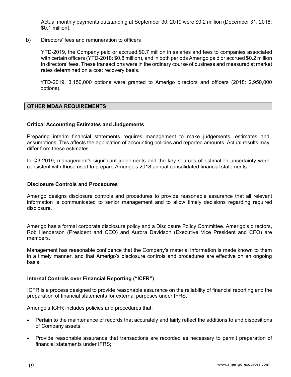Actual monthly payments outstanding at September 30, 2019 were \$0.2 million (December 31, 2018: \$0.1 million).

b) Directors' fees and remuneration to officers

 YTD-2019, the Company paid or accrued \$0.7 million in salaries and fees to companies associated with certain officers (YTD-2018: \$0.8 million), and in both periods Amerigo paid or accrued \$0.2 million in directors' fees. These transactions were in the ordinary course of business and measured at market rates determined on a cost recovery basis.

YTD-2019, 3,150,000 options were granted to Amerigo directors and officers (2018: 2,950,000 options).

#### **OTHER MD&A REQUIREMENTS**

#### **Critical Accounting Estimates and Judgements**

Preparing interim financial statements requires management to make judgements, estimates and assumptions. This affects the application of accounting policies and reported amounts. Actual results may differ from these estimates.

In Q3-2019, management's significant judgements and the key sources of estimation uncertainty were consistent with those used to prepare Amerigo's 2018 annual consolidated financial statements.

#### **Disclosure Controls and Procedures**

Amerigo designs disclosure controls and procedures to provide reasonable assurance that all relevant information is communicated to senior management and to allow timely decisions regarding required disclosure.

Amerigo has a formal corporate disclosure policy and a Disclosure Policy Committee. Amerigo's directors, Rob Henderson (President and CEO) and Aurora Davidson (Executive Vice President and CFO) are members.

Management has reasonable confidence that the Company's material information is made known to them in a timely manner, and that Amerigo's disclosure controls and procedures are effective on an ongoing basis.

## **Internal Controls over Financial Reporting ("ICFR")**

ICFR is a process designed to provide reasonable assurance on the reliability of financial reporting and the preparation of financial statements for external purposes under IFRS.

Amerigo's ICFR includes policies and procedures that:

- Pertain to the maintenance of records that accurately and fairly reflect the additions to and dispositions of Company assets;
- Provide reasonable assurance that transactions are recorded as necessary to permit preparation of financial statements under IFRS;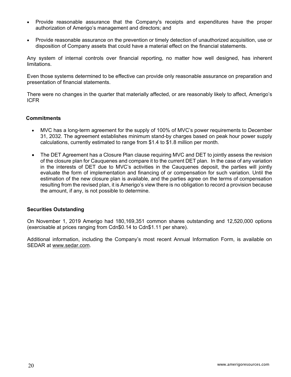- Provide reasonable assurance that the Company's receipts and expenditures have the proper authorization of Amerigo's management and directors; and
- Provide reasonable assurance on the prevention or timely detection of unauthorized acquisition, use or disposition of Company assets that could have a material effect on the financial statements.

Any system of internal controls over financial reporting, no matter how well designed, has inherent limitations.

Even those systems determined to be effective can provide only reasonable assurance on preparation and presentation of financial statements.

There were no changes in the quarter that materially affected, or are reasonably likely to affect, Amerigo's ICFR

#### **Commitments**

- MVC has a long-term agreement for the supply of 100% of MVC's power requirements to December 31, 2032. The agreement establishes minimum stand-by charges based on peak hour power supply calculations, currently estimated to range from \$1.4 to \$1.8 million per month.
- The DET Agreement has a Closure Plan clause requiring MVC and DET to jointly assess the revision of the closure plan for Cauquenes and compare it to the current DET plan. In the case of any variation in the interests of DET due to MVC's activities in the Cauquenes deposit, the parties will jointly evaluate the form of implementation and financing of or compensation for such variation. Until the estimation of the new closure plan is available, and the parties agree on the terms of compensation resulting from the revised plan, it is Amerigo's view there is no obligation to record a provision because the amount, if any, is not possible to determine.

#### **Securities Outstanding**

On November 1, 2019 Amerigo had 180,169,351 common shares outstanding and 12,520,000 options (exercisable at prices ranging from Cdn\$0.14 to Cdn\$1.11 per share).

Additional information, including the Company's most recent Annual Information Form, is available on SEDAR at www.sedar.com.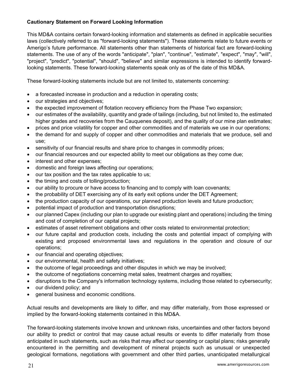# **Cautionary Statement on Forward Looking Information**

This MD&A contains certain forward-looking information and statements as defined in applicable securities laws (collectively referred to as "forward-looking statements"). These statements relate to future events or Amerigo's future performance. All statements other than statements of historical fact are forward-looking statements. The use of any of the words "anticipate", "plan", "continue", "estimate", "expect", "may", "will", "project", "predict", "potential", "should", "believe" and similar expressions is intended to identify forwardlooking statements. These forward-looking statements speak only as of the date of this MD&A.

These forward-looking statements include but are not limited to, statements concerning:

- a forecasted increase in production and a reduction in operating costs;
- our strategies and objectives;
- the expected improvement of flotation recovery efficiency from the Phase Two expansion;
- our estimates of the availability, quantity and grade of tailings (including, but not limited to, the estimated higher grades and recoveries from the Cauquenes deposit), and the quality of our mine plan estimates;
- prices and price volatility for copper and other commodities and of materials we use in our operations;
- the demand for and supply of copper and other commodities and materials that we produce, sell and use;
- sensitivity of our financial results and share price to changes in commodity prices;
- our financial resources and our expected ability to meet our obligations as they come due;
- interest and other expenses;
- domestic and foreign laws affecting our operations;
- our tax position and the tax rates applicable to us;
- the timing and costs of tolling/production;
- our ability to procure or have access to financing and to comply with loan covenants;
- the probability of DET exercising any of its early exit options under the DET Agreement;
- the production capacity of our operations, our planned production levels and future production;
- potential impact of production and transportation disruptions;
- our planned Capex (including our plan to upgrade our existing plant and operations) including the timing and cost of completion of our capital projects;
- estimates of asset retirement obligations and other costs related to environmental protection;
- our future capital and production costs, including the costs and potential impact of complying with existing and proposed environmental laws and regulations in the operation and closure of our operations;
- our financial and operating objectives;
- our environmental, health and safety initiatives;
- the outcome of legal proceedings and other disputes in which we may be involved;
- the outcome of negotiations concerning metal sales, treatment charges and royalties;
- disruptions to the Company's information technology systems, including those related to cybersecurity;
- our dividend policy; and
- general business and economic conditions.

Actual results and developments are likely to differ, and may differ materially, from those expressed or implied by the forward-looking statements contained in this MD&A.

The forward-looking statements involve known and unknown risks, uncertainties and other factors beyond our ability to predict or control that may cause actual results or events to differ materially from those anticipated in such statements, such as risks that may affect our operating or capital plans; risks generally encountered in the permitting and development of mineral projects such as unusual or unexpected geological formations, negotiations with government and other third parties, unanticipated metallurgical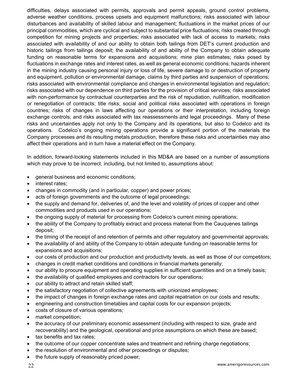difficulties, delays associated with permits, approvals and permit appeals, ground control problems, adverse weather conditions, process upsets and equipment malfunctions; risks associated with labour disturbances and availability of skilled labour and management; fluctuations in the market prices of our principal commodities, which are cyclical and subject to substantial price fluctuations; risks created through competition for mining projects and properties; risks associated with lack of access to markets; risks associated with availability of and our ability to obtain both tailings from DET's current production and historic tailings from tailings deposit; the availability of and ability of the Company to obtain adequate funding on reasonable terms for expansions and acquisitions; mine plan estimates; risks posed by fluctuations in exchange rates and interest rates, as well as general economic conditions; hazards inherent in the mining industry causing personal injury or loss of life, severe damage to or destruction of property and equipment, pollution or environmental damage, claims by third parties and suspension of operations; risks associated with environmental compliance and changes in environmental legislation and regulation; risks associated with our dependence on third parties for the provision of critical services; risks associated with non-performance by contractual counterparties and the risk of repudiation, nullification, modification or renegotiation of contracts; title risks; social and political risks associated with operations in foreign countries; risks of changes in laws affecting our operations or their interpretation, including foreign exchange controls; and risks associated with tax reassessments and legal proceedings. Many of these risks and uncertainties apply not only to the Company and its operations, but also to Codelco and its operations. Codelco's ongoing mining operations provide a significant portion of the materials the Company processes and its resulting metals production, therefore these risks and uncertainties may also affect their operations and in turn have a material effect on the Company.

In addition, forward-looking statements included in this MD&A are based on a number of assumptions which may prove to be incorrect, including, but not limited to, assumptions about:

- general business and economic conditions;
- interest rates;
- changes in commodity (and in particular, copper) and power prices;
- acts of foreign governments and the outcome of legal proceedings;
- the supply and demand for, deliveries of, and the level and volatility of prices of copper and other commodities and products used in our operations;
- the ongoing supply of material for processing from Codelco's current mining operations;
- the ability of the Company to profitably extract and process material from the Cauquenes tailings deposit;
- the timing of the receipt of and retention of permits and other regulatory and governmental approvals;
- the availability of and ability of the Company to obtain adequate funding on reasonable terms for expansions and acquisitions;
- our costs of production and our production and productivity levels, as well as those of our competitors;
- changes in credit market conditions and conditions in financial markets generally;
- our ability to procure equipment and operating supplies in sufficient quantities and on a timely basis;
- the availability of qualified employees and contractors for our operations;
- our ability to attract and retain skilled staff;
- the satisfactory negotiation of collective agreements with unionized employees;
- the impact of changes in foreign exchange rates and capital repatriation on our costs and results;
- engineering and construction timetables and capital costs for our expansion projects;
- costs of closure of various operations;
- market competition;
- the accuracy of our preliminary economic assessment (including with respect to size, grade and recoverability) and the geological, operational and price assumptions on which these are based;
- tax benefits and tax rates;
- the outcome of our copper concentrate sales and treatment and refining charge negotiations;
- the resolution of environmental and other proceedings or disputes;
- the future supply of reasonably priced power;